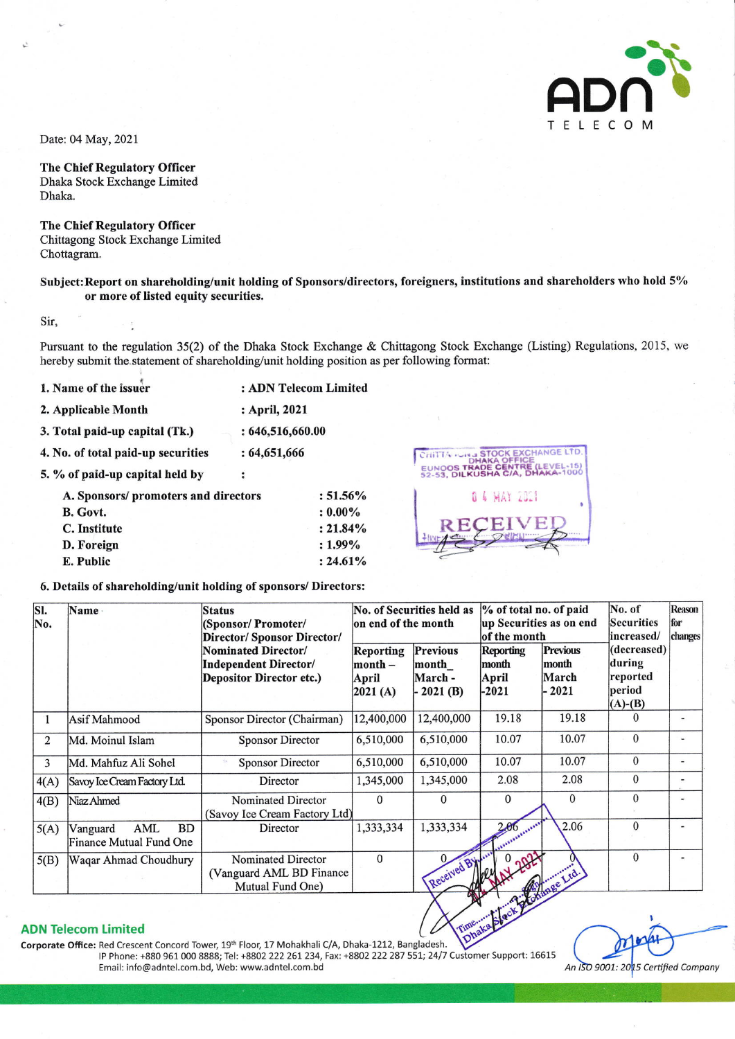

Date: 04 May, 2021

**The Chief Regulatory Officer** Dhaka Stock Exchange Limited Dhaka.

**The Chief Regulatory Officer** Chittagong Stock Exchange Limited Chottagram.

## Subject: Report on shareholding/unit holding of Sponsors/directors, foreigners, institutions and shareholders who hold 5% or more of listed equity securities.

Sir,

Pursuant to the regulation 35(2) of the Dhaka Stock Exchange & Chittagong Stock Exchange (Listing) Regulations, 2015, we hereby submit the statement of shareholding/unit holding position as per following format:

1. Name of the issuer : ADN Telecom Limited 2. Applicable Month : April, 2021 3. Total paid-up capital (Tk.)  $: 646, 516, 660.00$ 4. No. of total paid-up securities  $: 64,651,666$ 5. % of paid-up capital held by  $\cdot$ A. Sponsors/ promoters and directors  $:51.56\%$ **B.** Govt.  $: 0.00\%$ C. Institute  $: 21.84\%$ D. Foreign  $: 1.99\%$ 



## 6. Details of shareholding/unit holding of sponsors/ Directors:

| SI.<br>No. | Name -                                                  | <b>Status</b><br>(Sponsor/Promoter/<br>Director/ Sponsor Director/              | No. of Securities held as<br>on end of the month    |                                                  | % of total no. of paid<br>up Securities as on end<br>of the month |                                              | No. of<br><b>Securities</b><br>increased/                | Reason<br>for<br>changes |
|------------|---------------------------------------------------------|---------------------------------------------------------------------------------|-----------------------------------------------------|--------------------------------------------------|-------------------------------------------------------------------|----------------------------------------------|----------------------------------------------------------|--------------------------|
|            |                                                         | Nominated Director/<br>Independent Director/<br><b>Depositor Director etc.)</b> | Reporting<br>$\mathbf{month} -$<br>April<br>2021(A) | <b>Previous</b><br>month<br>March-<br>$-2021(B)$ | Reporting<br>month<br>April<br>$-2021$                            | <b>Previous</b><br>month<br>March<br>$-2021$ | (decreased)<br>during<br>reported<br>period<br>$(A)-(B)$ |                          |
|            | Asif Mahmood                                            | Sponsor Director (Chairman)                                                     | 12,400,000                                          | 12,400,000                                       | 19.18                                                             | 19.18                                        | $\Omega$                                                 | ٠                        |
| 2          | Md. Moinul Islam                                        | <b>Sponsor Director</b>                                                         | 6,510,000                                           | 6,510,000                                        | 10.07                                                             | 10.07                                        | $\Omega$                                                 |                          |
| 3          | Md. Mahfuz Ali Sohel                                    | <b>Sponsor Director</b>                                                         | 6,510,000                                           | 6,510,000                                        | 10.07                                                             | 10.07                                        | $\Omega$                                                 | $\overline{\phantom{0}}$ |
| 4(A)       | Savoy Ice Cream Factory Ltd.                            | Director                                                                        | 1,345,000                                           | 1,345,000                                        | 2.08                                                              | 2.08                                         | $\Omega$                                                 | ۰                        |
| 4(B)       | Niaz Ahmed                                              | Nominated Director<br>(Savoy Ice Cream Factory Ltd)                             | $\Omega$                                            | $\Omega$                                         | $\Omega$                                                          | $\mathbf{0}$                                 | $\Omega$                                                 | ۰                        |
| 5(A)       | <b>BD</b><br>AML<br>Vanguard<br>Finance Mutual Fund One | Director                                                                        | 1,333,334                                           | 1,333,334                                        | 2.06                                                              | 2.06                                         | $\Omega$                                                 |                          |
| 5(B)       | Waqar Ahmad Choudhury                                   | Nominated Director<br>(Vanguard AML BD Finance<br>Mutual Fund One)              | $\mathbf{0}$                                        | Received By                                      |                                                                   | 7 ge Ltd.                                    | $\Omega$                                                 |                          |

 $: 24.61\%$ 

## **ADN Telecom Limited**

E. Public

Corporate Office: Red Crescent Concord Tower, 19th Floor, 17 Mohakhali C/A, Dhaka-1212, Bangladesh. IP Phone: +880 961 000 8888; Tel: +8802 222 261 234, Fax: +8802 222 287 551; 24/7 Customer Support: 16615 Email: info@adntel.com.bd, Web: www.adntel.com.bd

An ISO 9001: 2015 Certified Company